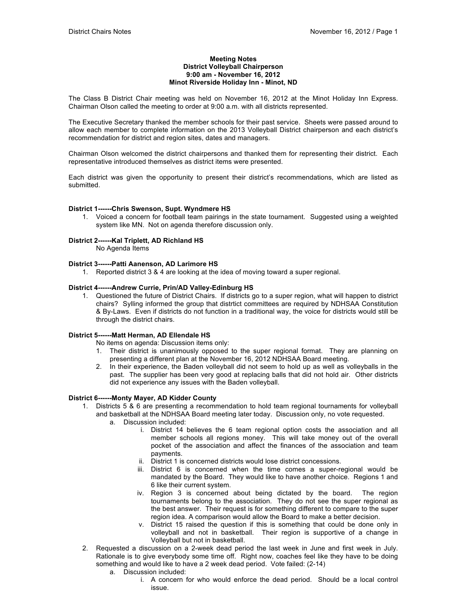#### **Meeting Notes District Volleyball Chairperson 9:00 am - November 16, 2012 Minot Riverside Holiday Inn - Minot, ND**

The Class B District Chair meeting was held on November 16, 2012 at the Minot Holiday Inn Express. Chairman Olson called the meeting to order at 9:00 a.m. with all districts represented.

The Executive Secretary thanked the member schools for their past service. Sheets were passed around to allow each member to complete information on the 2013 Volleyball District chairperson and each district's recommendation for district and region sites, dates and managers.

Chairman Olson welcomed the district chairpersons and thanked them for representing their district. Each representative introduced themselves as district items were presented.

Each district was given the opportunity to present their district's recommendations, which are listed as submitted.

## **District 1------Chris Swenson, Supt. Wyndmere HS**

1. Voiced a concern for football team pairings in the state tournament. Suggested using a weighted system like MN. Not on agenda therefore discussion only.

## **District 2------Kal Triplett, AD Richland HS**

No Agenda Items

## **District 3------Patti Aanenson, AD Larimore HS**

1. Reported district 3 & 4 are looking at the idea of moving toward a super regional.

#### **District 4------Andrew Currie, Prin/AD Valley-Edinburg HS**

1. Questioned the future of District Chairs. If districts go to a super region, what will happen to district chairs? Sylling informed the group that distrtict committees are required by NDHSAA Constitution & By-Laws. Even if districts do not function in a traditional way, the voice for districts would still be through the district chairs.

## **District 5------Matt Herman, AD Ellendale HS**

No items on agenda: Discussion items only:

- 1. Their district is unanimously opposed to the super regional format. They are planning on presenting a different plan at the November 16, 2012 NDHSAA Board meeting.
- 2. In their experience, the Baden volleyball did not seem to hold up as well as volleyballs in the past. The supplier has been very good at replacing balls that did not hold air. Other districts did not experience any issues with the Baden volleyball.

#### **District 6------Monty Mayer, AD Kidder County**

- 1. Districts 5 & 6 are presenting a recommendation to hold team regional tournaments for volleyball and basketball at the NDHSAA Board meeting later today. Discussion only, no vote requested.
	- a. Discussion included:
		- i. District 14 believes the 6 team regional option costs the association and all member schools all regions money. This will take money out of the overall pocket of the association and affect the finances of the association and team payments.
		- ii. District 1 is concerned districts would lose district concessions.
		- iii. District 6 is concerned when the time comes a super-regional would be mandated by the Board. They would like to have another choice. Regions 1 and 6 like their current system.
		- iv. Region 3 is concerned about being dictated by the board. The region tournaments belong to the association. They do not see the super regional as the best answer. Their request is for something different to compare to the super region idea. A comparison would allow the Board to make a better decision.
		- v. District 15 raised the question if this is something that could be done only in volleyball and not in basketball. Their region is supportive of a change in Volleyball but not in basketball.
- 2. Requested a discussion on a 2-week dead period the last week in June and first week in July. Rationale is to give everybody some time off. Right now, coaches feel like they have to be doing something and would like to have a 2 week dead period. Vote failed: (2-14)
	- a. Discussion included:
		- i. A concern for who would enforce the dead period. Should be a local control issue.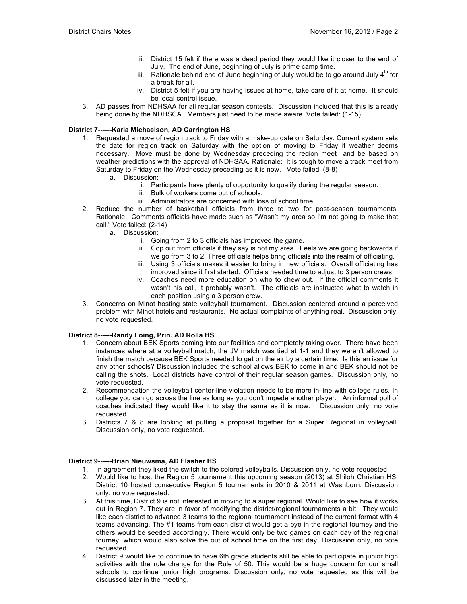- ii. District 15 felt if there was a dead period they would like it closer to the end of July. The end of June, beginning of July is prime camp time.
- iii. Rationale behind end of June beginning of July would be to go around July  $4<sup>th</sup>$  for a break for all.
- iv. District 5 felt if you are having issues at home, take care of it at home. It should be local control issue.
- 3. AD passes from NDHSAA for all regular season contests. Discussion included that this is already being done by the NDHSCA. Members just need to be made aware. Vote failed: (1-15)

# **District 7------Karla Michaelson, AD Carrington HS**

- 1. Requested a move of region track to Friday with a make-up date on Saturday. Current system sets the date for region track on Saturday with the option of moving to Friday if weather deems necessary. Move must be done by Wednesday preceding the region meet and be based on weather predictions with the approval of NDHSAA. Rationale: It is tough to move a track meet from Saturday to Friday on the Wednesday preceding as it is now. Vote failed: (8-8)
	- a. Discussion:
		- i. Participants have plenty of opportunity to qualify during the regular season.
		- ii. Bulk of workers come out of schools.
		- iii. Administrators are concerned with loss of school time.
- 2. Reduce the number of basketball officials from three to two for post-season tournaments. Rationale: Comments officials have made such as "Wasn't my area so I'm not going to make that call." Vote failed: (2-14)
	- a. Discussion:
		- i. Going from 2 to 3 officials has improved the game.
		- ii. Cop out from officials if they say is not my area. Feels we are going backwards if we go from 3 to 2. Three officials helps bring officials into the realm of officiating.
		- iii. Using 3 officials makes it easier to bring in new officials. Overall officiating has improved since it first started. Officials needed time to adjust to 3 person crews.
		- iv. Coaches need more education on who to chew out. If the official comments it wasn't his call, it probably wasn't. The officials are instructed what to watch in each position using a 3 person crew.
- 3. Concerns on Minot hosting state volleyball tournament. Discussion centered around a perceived problem with Minot hotels and restaurants. No actual complaints of anything real. Discussion only, no vote requested.

## **District 8------Randy Loing, Prin. AD Rolla HS**

- 1. Concern about BEK Sports coming into our facilities and completely taking over. There have been instances where at a volleyball match, the JV match was tied at 1-1 and they weren't allowed to finish the match because BEK Sports needed to get on the air by a certain time. Is this an issue for any other schools? Discussion included the school allows BEK to come in and BEK should not be calling the shots. Local districts have control of their regular season games. Discussion only, no vote requested.
- 2. Recommendation the volleyball center-line violation needs to be more in-line with college rules. In college you can go across the line as long as you don't impede another player. An informal poll of coaches indicated they would like it to stay the same as it is now. Discussion only, no vote requested.
- 3. Districts 7 & 8 are looking at putting a proposal together for a Super Regional in volleyball. Discussion only, no vote requested.

## **District 9------Brian Nieuwsma, AD Flasher HS**

- 1. In agreement they liked the switch to the colored volleyballs. Discussion only, no vote requested.
- 2. Would like to host the Region 5 tournament this upcoming season (2013) at Shiloh Christian HS, District 10 hosted consecutive Region 5 tournaments in 2010 & 2011 at Washburn. Discussion only, no vote requested.
- 3. At this time, District 9 is not interested in moving to a super regional. Would like to see how it works out in Region 7. They are in favor of modifying the district/regional tournaments a bit. They would like each district to advance 3 teams to the regional tournament instead of the current format with 4 teams advancing. The #1 teams from each district would get a bye in the regional tourney and the others would be seeded accordingly. There would only be two games on each day of the regional tourney, which would also solve the out of school time on the first day. Discussion only, no vote requested.
- 4. District 9 would like to continue to have 6th grade students still be able to participate in junior high activities with the rule change for the Rule of 50. This would be a huge concern for our small schools to continue junior high programs. Discussion only, no vote requested as this will be discussed later in the meeting.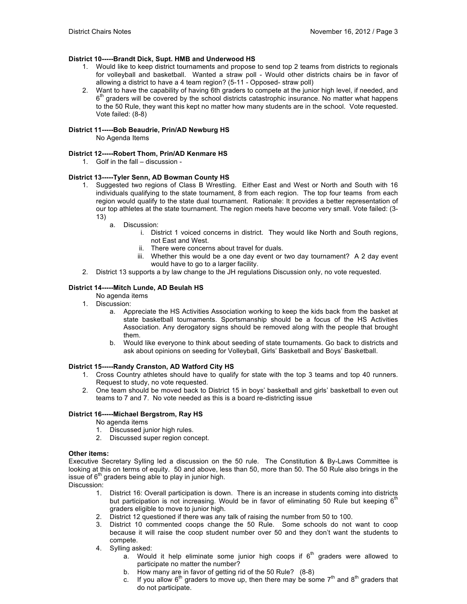# **District 10-----Brandt Dick, Supt. HMB and Underwood HS**

- 1. Would like to keep district tournaments and propose to send top 2 teams from districts to regionals for volleyball and basketball. Wanted a straw poll - Would other districts chairs be in favor of allowing a district to have a 4 team region? (5-11 - Opposed- straw poll)
- 2. Want to have the capability of having 6th graders to compete at the junior high level, if needed, and  $6<sup>th</sup>$  graders will be covered by the school districts catastrophic insurance. No matter what happens to the 50 Rule, they want this kept no matter how many students are in the school. Vote requested. Vote failed: (8-8)

# **District 11-----Bob Beaudrie, Prin/AD Newburg HS**

No Agenda Items

## **District 12-----Robert Thom, Prin/AD Kenmare HS**

1. Golf in the fall – discussion -

## **District 13-----Tyler Senn, AD Bowman County HS**

- 1. Suggested two regions of Class B Wrestling. Either East and West or North and South with 16 individuals qualifying to the state tournament, 8 from each region. The top four teams from each region would qualify to the state dual tournament. Rationale: It provides a better representation of our top athletes at the state tournament. The region meets have become very small. Vote failed: (3- 13)
	- a. Discussion:
		- i. District 1 voiced concerns in district. They would like North and South regions, not East and West.
		- ii. There were concerns about travel for duals.
		- iii. Whether this would be a one day event or two day tournament? A 2 day event would have to go to a larger facility.
- 2. District 13 supports a by law change to the JH regulations Discussion only, no vote requested.

## **District 14-----Mitch Lunde, AD Beulah HS**

- No agenda items
- 1. Discussion:
	- a. Appreciate the HS Activities Association working to keep the kids back from the basket at state basketball tournaments. Sportsmanship should be a focus of the HS Activities Association. Any derogatory signs should be removed along with the people that brought them.
	- b. Would like everyone to think about seeding of state tournaments. Go back to districts and ask about opinions on seeding for Volleyball, Girls' Basketball and Boys' Basketball.

## **District 15-----Randy Cranston, AD Watford City HS**

- 1. Cross Country athletes should have to qualify for state with the top 3 teams and top 40 runners. Request to study, no vote requested.
- 2. One team should be moved back to District 15 in boys' basketball and girls' basketball to even out teams to 7 and 7. No vote needed as this is a board re-districting issue

# **District 16-----Michael Bergstrom, Ray HS**

- No agenda items
- 1. Discussed junior high rules.
- 2. Discussed super region concept.

## **Other items:**

Executive Secretary Sylling led a discussion on the 50 rule. The Constitution & By-Laws Committee is looking at this on terms of equity. 50 and above, less than 50, more than 50. The 50 Rule also brings in the issue of  $6<sup>th</sup>$  graders being able to play in junior high.

Discussion:

- 1. District 16: Overall participation is down. There is an increase in students coming into districts but participation is not increasing. Would be in favor of eliminating 50 Rule but keeping  $6<sup>th</sup>$ graders eligible to move to junior high.
- 2. District 12 questioned if there was any talk of raising the number from 50 to 100.
- 3. District 10 commented coops change the 50 Rule. Some schools do not want to coop because it will raise the coop student number over 50 and they don't want the students to compete.
- 4. Sylling asked:
	- a. Would it help eliminate some junior high coops if  $6<sup>th</sup>$  graders were allowed to participate no matter the number?
	- b. How many are in favor of getting rid of the 50 Rule? (8-8)
	- c. If you allow  $6<sup>th</sup>$  graders to move up, then there may be some  $7<sup>th</sup>$  and  $8<sup>th</sup>$  graders that do not participate.